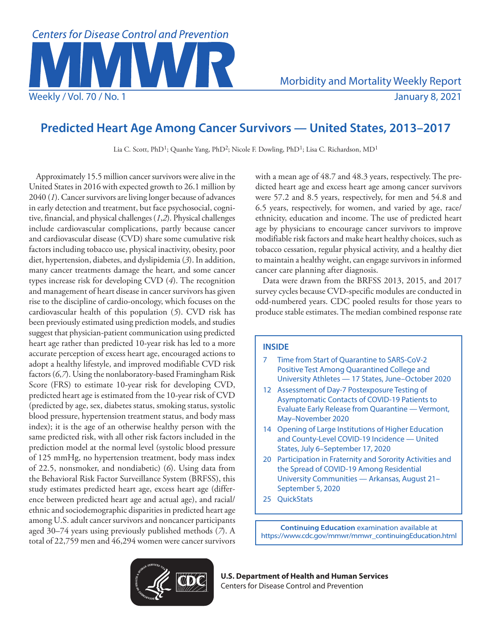

# **Predicted Heart Age Among Cancer Survivors — United States, 2013–2017**

Lia C. Scott, PhD<sup>1</sup>; Quanhe Yang, PhD<sup>2</sup>; Nicole F. Dowling, PhD<sup>1</sup>; Lisa C. Richardson, MD<sup>1</sup>

Approximately 15.5 million cancer survivors were alive in the United States in 2016 with expected growth to 26.1 million by 2040 (*1*). Cancer survivors are living longer because of advances in early detection and treatment, but face psychosocial, cognitive, financial, and physical challenges (*1*,*2*). Physical challenges include cardiovascular complications, partly because cancer and cardiovascular disease (CVD) share some cumulative risk factors including tobacco use, physical inactivity, obesity, poor diet, hypertension, diabetes, and dyslipidemia (*3*). In addition, many cancer treatments damage the heart, and some cancer types increase risk for developing CVD (*4*). The recognition and management of heart disease in cancer survivors has given rise to the discipline of cardio-oncology, which focuses on the cardiovascular health of this population (*5*). CVD risk has been previously estimated using prediction models, and studies suggest that physician-patient communication using predicted heart age rather than predicted 10-year risk has led to a more accurate perception of excess heart age, encouraged actions to adopt a healthy lifestyle, and improved modifiable CVD risk factors (*6*,*7*). Using the nonlaboratory-based Framingham Risk Score (FRS) to estimate 10-year risk for developing CVD, predicted heart age is estimated from the 10-year risk of CVD (predicted by age, sex, diabetes status, smoking status, systolic blood pressure, hypertension treatment status, and body mass index); it is the age of an otherwise healthy person with the same predicted risk, with all other risk factors included in the prediction model at the normal level (systolic blood pressure of 125 mmHg, no hypertension treatment, body mass index of 22.5, nonsmoker, and nondiabetic) (*6*). Using data from the Behavioral Risk Factor Surveillance System (BRFSS), this study estimates predicted heart age, excess heart age (difference between predicted heart age and actual age), and racial/ ethnic and sociodemographic disparities in predicted heart age among U.S. adult cancer survivors and noncancer participants aged 30–74 years using previously published methods (*7*). A total of 22,759 men and 46,294 women were cancer survivors

with a mean age of 48.7 and 48.3 years, respectively. The predicted heart age and excess heart age among cancer survivors were 57.2 and 8.5 years, respectively, for men and 54.8 and 6.5 years, respectively, for women, and varied by age, race/ ethnicity, education and income. The use of predicted heart age by physicians to encourage cancer survivors to improve modifiable risk factors and make heart healthy choices, such as tobacco cessation, regular physical activity, and a healthy diet to maintain a healthy weight, can engage survivors in informed cancer care planning after diagnosis.

Data were drawn from the BRFSS 2013, 2015, and 2017 survey cycles because CVD-specific modules are conducted in odd-numbered years. CDC pooled results for those years to produce stable estimates. The median combined response rate

# **INSIDE**

- 7 Time from Start of Quarantine to SARS-CoV-2 Positive Test Among Quarantined College and University Athletes — 17 States, June–October 2020
- 12 Assessment of Day-7 Postexposure Testing of Asymptomatic Contacts of COVID-19 Patients to Evaluate Early Release from Quarantine — Vermont, May–November 2020
- 14 Opening of Large Institutions of Higher Education and County-Level COVID-19 Incidence — United States, July 6–September 17, 2020
- 20 Participation in Fraternity and Sorority Activities and the Spread of COVID-19 Among Residential University Communities — Arkansas, August 21– September 5, 2020
- 25 QuickStats

**Continuing Education** examination available at [https://www.cdc.gov/mmwr/mmwr\\_continuingEducation.html](https://www.cdc.gov/mmwr/mmwr_continuingEducation.html)



**U.S. Department of Health and Human Services** Centers for Disease Control and Prevention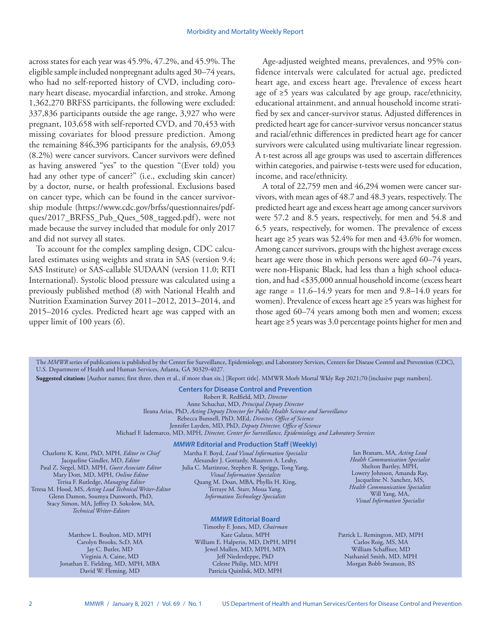across states for each year was 45.9%, 47.2%, and 45.9%. The eligible sample included nonpregnant adults aged 30–74 years, who had no self-reported history of CVD, including coronary heart disease, myocardial infarction, and stroke. Among 1,362,270 BRFSS participants, the following were excluded: 337,836 participants outside the age range, 3,927 who were pregnant, 103,658 with self-reported CVD, and 70,453 with missing covariates for blood pressure prediction. Among the remaining 846,396 participants for the analysis, 69,053 (8.2%) were cancer survivors. Cancer survivors were defined as having answered "yes" to the question "(Ever told) you had any other type of cancer?" (i.e., excluding skin cancer) by a doctor, nurse, or health professional. Exclusions based on cancer type, which can be found in the cancer survivorship module [\(https://www.cdc.gov/brfss/questionnaires/pdf](https://www.cdc.gov/brfss/questionnaires/pdf-ques/2017_BRFSS_Pub_Ques_508_tagged.pdf)[ques/2017\\_BRFSS\\_Pub\\_Ques\\_508\\_tagged.pdf\)](https://www.cdc.gov/brfss/questionnaires/pdf-ques/2017_BRFSS_Pub_Ques_508_tagged.pdf), were not made because the survey included that module for only 2017 and did not survey all states.

To account for the complex sampling design, CDC calculated estimates using weights and strata in SAS (version 9.4; SAS Institute) or SAS-callable SUDAAN (version 11.0; RTI International). Systolic blood pressure was calculated using a previously published method (*8*) with National Health and Nutrition Examination Survey 2011–2012, 2013–2014, and 2015–2016 cycles. Predicted heart age was capped with an upper limit of 100 years (*6*).

Age-adjusted weighted means, prevalences, and 95% confidence intervals were calculated for actual age, predicted heart age, and excess heart age. Prevalence of excess heart age of ≥5 years was calculated by age group, race/ethnicity, educational attainment, and annual household income stratified by sex and cancer-survivor status. Adjusted differences in predicted heart age for cancer-survivor versus noncancer status and racial/ethnic differences in predicted heart age for cancer survivors were calculated using multivariate linear regression. A t-test across all age groups was used to ascertain differences within categories, and pairwise t-tests were used for education, income, and race/ethnicity.

A total of 22,759 men and 46,294 women were cancer survivors, with mean ages of 48.7 and 48.3 years, respectively. The predicted heart age and excess heart age among cancer survivors were 57.2 and 8.5 years, respectively, for men and 54.8 and 6.5 years, respectively, for women. The prevalence of excess heart age ≥5 years was 52.4% for men and 43.6% for women. Among cancer survivors, groups with the highest average excess heart age were those in which persons were aged 60–74 years, were non-Hispanic Black, had less than a high school education, and had <\$35,000 annual household income (excess heart age range =  $11.6 - 14.9$  years for men and  $9.8 - 14.0$  years for women). Prevalence of excess heart age ≥5 years was highest for those aged 60–74 years among both men and women; excess heart age ≥5 years was 3.0 percentage points higher for men and

The *MMWR* series of publications is published by the Center for Surveillance, Epidemiology, and Laboratory Services, Centers for Disease Control and Prevention (CDC), U.S. Department of Health and Human Services, Atlanta, GA 30329-4027.

**Suggested citation:** [Author names; first three, then et al., if more than six.] [Report title]. MMWR Morb Mortal Wkly Rep 2021;70:[inclusive page numbers].

**Centers for Disease Control and Prevention**

Robert R. Redfield, MD, *Director*

Anne Schuchat, MD, *Principal Deputy Director* Ileana Arias, PhD, *Acting Deputy Director for Public Health Science and Surveillance* Rebecca Bunnell, PhD, MEd, *Director, Office of Science*

Jennifer Layden, MD, PhD, *Deputy Director, Office of Science* Michael F. Iademarco, MD, MPH, *Director, Center for Surveillance, Epidemiology, and Laboratory Services* 

#### *MMWR* **Editorial and Production Staff (Weekly)**

Charlotte K. Kent, PhD, MPH, *Editor in Chief*  Jacqueline Gindler, MD, *Editor* Paul Z. Siegel, MD, MPH, *Guest Associate Editor* Mary Dott, MD, MPH, *Online Editor* Terisa F. Rutledge, *Managing Editor*  Teresa M. Hood, MS, *Acting Lead Technical Writer-Editor* Glenn Damon, Soumya Dunworth, PhD, Stacy Simon, MA, Jeffrey D. Sokolow, MA, *Technical Writer-Editors*

> Matthew L. Boulton, MD, MPH Carolyn Brooks, ScD, MA Jay C. Butler, MD Virginia A. Caine, MD Jonathan E. Fielding, MD, MPH, MBA David W. Fleming, MD

Martha F. Boyd, *Lead Visual Information Specialist* Alexander J. Gottardy, Maureen A. Leahy, Julia C. Martinroe, Stephen R. Spriggs, Tong Yang, *Visual Information Specialists* Quang M. Doan, MBA, Phyllis H. King, Terraye M. Starr, Moua Yang, *Information Technology Specialists*

## *MMWR* **Editorial Board**

Timothy F. Jones, MD, *Chairman* Kate Galatas, MPH William E. Halperin, MD, DrPH, MPH Jewel Mullen, MD, MPH, MPA Jeff Niederdeppe, PhD Celeste Philip, MD, MPH Patricia Quinlisk, MD, MPH

Ian Branam, MA, *Acting Lead Health Communication Specialist* Shelton Bartley, MPH, Lowery Johnson, Amanda Ray, Jacqueline N. Sanchez, MS, *Health Communication Specialists* Will Yang, MA, *Visual Information Specialist*

Patrick L. Remington, MD, MPH Carlos Roig, MS, MA William Schaffner, MD Nathaniel Smith, MD, MPH Morgan Bobb Swanson, BS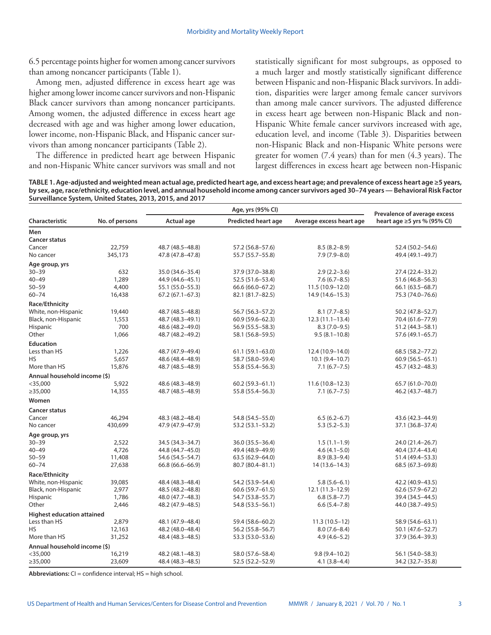6.5 percentage points higher for women among cancer survivors than among noncancer participants (Table 1).

Among men, adjusted difference in excess heart age was higher among lower income cancer survivors and non-Hispanic Black cancer survivors than among noncancer participants. Among women, the adjusted difference in excess heart age decreased with age and was higher among lower education, lower income, non-Hispanic Black, and Hispanic cancer survivors than among noncancer participants (Table 2).

The difference in predicted heart age between Hispanic and non-Hispanic White cancer survivors was small and not statistically significant for most subgroups, as opposed to a much larger and mostly statistically significant difference between Hispanic and non-Hispanic Black survivors. In addition, disparities were larger among female cancer survivors than among male cancer survivors. The adjusted difference in excess heart age between non-Hispanic Black and non-Hispanic White female cancer survivors increased with age, education level, and income (Table 3). Disparities between non-Hispanic Black and non-Hispanic White persons were greater for women (7.4 years) than for men (4.3 years). The largest differences in excess heart age between non-Hispanic

**TABLE 1. Age-adjusted and weighted mean actual age, predicted heart age, and excess heart age; and prevalence of excess heart age ≥5 years, by sex, age, race/ethnicity, education level, and annual household income among cancer survivors aged 30–74 years — Behavioral Risk Factor Surveillance System, United States, 2013, 2015, and 2017**

| Characteristic<br>No. of persons<br>Actual age<br><b>Predicted heart age</b><br>Average excess heart age<br>heart age $\geq$ 5 yrs % (95% CI)<br>Men<br><b>Cancer status</b><br>22,759<br>48.7 (48.5-48.8)<br>57.2 (56.8-57.6)<br>$8.5(8.2 - 8.9)$<br>52.4 (50.2-54.6)<br>Cancer<br>No cancer<br>345,173<br>47.8 (47.8-47.8)<br>$7.9(7.9 - 8.0)$<br>55.7 (55.7-55.8)<br>49.4 (49.1-49.7)<br>Age group, yrs<br>632<br>$30 - 39$<br>35.0 (34.6-35.4)<br>37.9 (37.0-38.8)<br>$2.9(2.2 - 3.6)$<br>27.4 (22.4–33.2)<br>$40 - 49$<br>1,289<br>$7.6(6.7-8.5)$<br>44.9 (44.6-45.1)<br>52.5 (51.6-53.4)<br>51.6 (46.8–56.3)<br>4,400<br>$50 - 59$<br>55.1 (55.0-55.3)<br>66.6 (66.0-67.2)<br>11.5 (10.9-12.0)<br>66.1 (63.5-68.7)<br>$60 - 74$<br>16,438<br>67.2 (67.1-67.3)<br>82.1 (81.7-82.5)<br>14.9 (14.6–15.3)<br>75.3 (74.0-76.6)<br>Race/Ethnicity<br>White, non-Hispanic<br>48.7 (48.5-48.8)<br>$56.7(56.3 - 57.2)$<br>$8.1(7.7 - 8.5)$<br>19,440<br>50.2 (47.8–52.7)<br>Black, non-Hispanic<br>48.7 (48.3-49.1)<br>$60.9(59.6 - 62.3)$<br>$12.3(11.1-13.4)$<br>70.4 (61.6–77.9)<br>1,553<br>Hispanic<br>700<br>48.6 (48.2-49.0)<br>56.9 (55.5 - 58.3)<br>$8.3(7.0-9.5)$<br>51.2 (44.3-58.1)<br>Other<br>1,066<br>48.7 (48.2-49.2)<br>58.1 (56.8-59.5)<br>$9.5(8.1 - 10.8)$<br>57.6 (49.1-65.7)<br><b>Education</b><br>Less than HS<br>48.7 (47.9-49.4)<br>$61.1(59.1 - 63.0)$<br>1,226<br>12.4 (10.9-14.0)<br>68.5 (58.2-77.2)<br>HS<br>5,657<br>58.7 (58.0-59.4)<br>48.6 (48.4-48.9)<br>$10.1(9.4 - 10.7)$<br>$60.9(56.5 - 65.1)$<br>More than HS<br>15,876<br>48.7 (48.5-48.9)<br>55.8 (55.4 - 56.3)<br>$7.1(6.7 - 7.5)$<br>45.7 (43.2-48.3)<br>Annual household income (\$)<br>$<$ 35,000<br>5,922<br>48.6 (48.3-48.9)<br>$60.2(59.3 - 61.1)$<br>$11.6(10.8-12.3)$<br>65.7 (61.0-70.0)<br>$\geq$ 35,000<br>14,355<br>48.7 (48.5-48.9)<br>55.8 (55.4 - 56.3)<br>$7.1(6.7 - 7.5)$<br>46.2 (43.7-48.7)<br>Women<br><b>Cancer status</b><br>Cancer<br>46,294<br>48.3 (48.2-48.4)<br>54.8 (54.5 - 55.0)<br>$6.5(6.2 - 6.7)$<br>43.6 (42.3-44.9)<br>No cancer<br>430,699<br>47.9 (47.9-47.9)<br>$5.3(5.2-5.3)$<br>53.2 (53.1-53.2)<br>37.1 (36.8-37.4)<br>Age group, yrs<br>$30 - 39$<br>2,522<br>34.5 (34.3-34.7)<br>36.0 (35.5 - 36.4)<br>$1.5(1.1-1.9)$<br>24.0 (21.4-26.7)<br>$40 - 49$<br>4,726<br>44.8 (44.7-45.0)<br>49.4 (48.9-49.9)<br>$4.6(4.1 - 5.0)$<br>40.4 (37.4-43.4)<br>$50 - 59$<br>11,408<br>54.6 (54.5-54.7)<br>63.5 (62.9-64.0)<br>$8.9(8.3-9.4)$<br>51.4 (49.4-53.3)<br>$60 - 74$<br>27,638<br>66.8 (66.6–66.9)<br>80.7 (80.4-81.1)<br>14 (13.6–14.3)<br>68.5 (67.3–69.8)<br>Race/Ethnicity<br>White, non-Hispanic<br>39,085<br>48.4 (48.3-48.4)<br>54.2 (53.9-54.4)<br>$5.8(5.6-6.1)$<br>42.2 (40.9-43.5)<br>2,977<br>Black, non-Hispanic<br>48.5 (48.2-48.8)<br>$60.6(59.7-61.5)$<br>$12.1(11.3-12.9)$<br>$62.6(57.9 - 67.2)$<br>Hispanic<br>1,786<br>48.0 (47.7-48.3)<br>54.7 (53.8–55.7)<br>$6.8(5.8 - 7.7)$<br>39.4 (34.5–44.5)<br>2,446<br>Other<br>48.2 (47.9-48.5)<br>54.8 (53.5 - 56.1)<br>$6.6(5.4 - 7.8)$<br>44.0 (38.7–49.5)<br><b>Highest education attained</b><br>Less than HS<br>2,879<br>48.1 (47.9-48.4)<br>59.4 (58.6-60.2)<br>$11.3(10.5-12)$<br>58.9 (54.6-63.1)<br><b>HS</b><br>12,163<br>48.2 (48.0-48.4)<br>56.2 (55.8-56.7)<br>$8.0(7.6 - 8.4)$<br>50.1 (47.6 - 52.7)<br>More than HS<br>31,252<br>48.4 (48.3-48.5)<br>53.3 (53.0-53.6)<br>$4.9(4.6 - 5.2)$<br>37.9 (36.4-39.3)<br>Annual household income (\$)<br>$<$ 35,000<br>16,219<br>48.2 (48.1-48.3)<br>58.0 (57.6-58.4)<br>$9.8(9.4 - 10.2)$<br>56.1 (54.0-58.3)<br>$\geq$ 35,000<br>23,609<br>48.4 (48.3-48.5)<br>52.5 (52.2-52.9)<br>$4.1(3.8-4.4)$<br>34.2 (32.7 - 35.8) |  |  | Prevalence of average excess |  |
|---------------------------------------------------------------------------------------------------------------------------------------------------------------------------------------------------------------------------------------------------------------------------------------------------------------------------------------------------------------------------------------------------------------------------------------------------------------------------------------------------------------------------------------------------------------------------------------------------------------------------------------------------------------------------------------------------------------------------------------------------------------------------------------------------------------------------------------------------------------------------------------------------------------------------------------------------------------------------------------------------------------------------------------------------------------------------------------------------------------------------------------------------------------------------------------------------------------------------------------------------------------------------------------------------------------------------------------------------------------------------------------------------------------------------------------------------------------------------------------------------------------------------------------------------------------------------------------------------------------------------------------------------------------------------------------------------------------------------------------------------------------------------------------------------------------------------------------------------------------------------------------------------------------------------------------------------------------------------------------------------------------------------------------------------------------------------------------------------------------------------------------------------------------------------------------------------------------------------------------------------------------------------------------------------------------------------------------------------------------------------------------------------------------------------------------------------------------------------------------------------------------------------------------------------------------------------------------------------------------------------------------------------------------------------------------------------------------------------------------------------------------------------------------------------------------------------------------------------------------------------------------------------------------------------------------------------------------------------------------------------------------------------------------------------------------------------------------------------------------------------------------------------------------------------------------------------------------------------------------------------------------------------------------------------------------------------------------------------------------------------------------------------------------------------------------------------------------------------------------------------------------------------------------------------------------------------------------------------------------------------------------------------------------------------------|--|--|------------------------------|--|
|                                                                                                                                                                                                                                                                                                                                                                                                                                                                                                                                                                                                                                                                                                                                                                                                                                                                                                                                                                                                                                                                                                                                                                                                                                                                                                                                                                                                                                                                                                                                                                                                                                                                                                                                                                                                                                                                                                                                                                                                                                                                                                                                                                                                                                                                                                                                                                                                                                                                                                                                                                                                                                                                                                                                                                                                                                                                                                                                                                                                                                                                                                                                                                                                                                                                                                                                                                                                                                                                                                                                                                                                                                                                                 |  |  |                              |  |
|                                                                                                                                                                                                                                                                                                                                                                                                                                                                                                                                                                                                                                                                                                                                                                                                                                                                                                                                                                                                                                                                                                                                                                                                                                                                                                                                                                                                                                                                                                                                                                                                                                                                                                                                                                                                                                                                                                                                                                                                                                                                                                                                                                                                                                                                                                                                                                                                                                                                                                                                                                                                                                                                                                                                                                                                                                                                                                                                                                                                                                                                                                                                                                                                                                                                                                                                                                                                                                                                                                                                                                                                                                                                                 |  |  |                              |  |
|                                                                                                                                                                                                                                                                                                                                                                                                                                                                                                                                                                                                                                                                                                                                                                                                                                                                                                                                                                                                                                                                                                                                                                                                                                                                                                                                                                                                                                                                                                                                                                                                                                                                                                                                                                                                                                                                                                                                                                                                                                                                                                                                                                                                                                                                                                                                                                                                                                                                                                                                                                                                                                                                                                                                                                                                                                                                                                                                                                                                                                                                                                                                                                                                                                                                                                                                                                                                                                                                                                                                                                                                                                                                                 |  |  |                              |  |
|                                                                                                                                                                                                                                                                                                                                                                                                                                                                                                                                                                                                                                                                                                                                                                                                                                                                                                                                                                                                                                                                                                                                                                                                                                                                                                                                                                                                                                                                                                                                                                                                                                                                                                                                                                                                                                                                                                                                                                                                                                                                                                                                                                                                                                                                                                                                                                                                                                                                                                                                                                                                                                                                                                                                                                                                                                                                                                                                                                                                                                                                                                                                                                                                                                                                                                                                                                                                                                                                                                                                                                                                                                                                                 |  |  |                              |  |
|                                                                                                                                                                                                                                                                                                                                                                                                                                                                                                                                                                                                                                                                                                                                                                                                                                                                                                                                                                                                                                                                                                                                                                                                                                                                                                                                                                                                                                                                                                                                                                                                                                                                                                                                                                                                                                                                                                                                                                                                                                                                                                                                                                                                                                                                                                                                                                                                                                                                                                                                                                                                                                                                                                                                                                                                                                                                                                                                                                                                                                                                                                                                                                                                                                                                                                                                                                                                                                                                                                                                                                                                                                                                                 |  |  |                              |  |
|                                                                                                                                                                                                                                                                                                                                                                                                                                                                                                                                                                                                                                                                                                                                                                                                                                                                                                                                                                                                                                                                                                                                                                                                                                                                                                                                                                                                                                                                                                                                                                                                                                                                                                                                                                                                                                                                                                                                                                                                                                                                                                                                                                                                                                                                                                                                                                                                                                                                                                                                                                                                                                                                                                                                                                                                                                                                                                                                                                                                                                                                                                                                                                                                                                                                                                                                                                                                                                                                                                                                                                                                                                                                                 |  |  |                              |  |
|                                                                                                                                                                                                                                                                                                                                                                                                                                                                                                                                                                                                                                                                                                                                                                                                                                                                                                                                                                                                                                                                                                                                                                                                                                                                                                                                                                                                                                                                                                                                                                                                                                                                                                                                                                                                                                                                                                                                                                                                                                                                                                                                                                                                                                                                                                                                                                                                                                                                                                                                                                                                                                                                                                                                                                                                                                                                                                                                                                                                                                                                                                                                                                                                                                                                                                                                                                                                                                                                                                                                                                                                                                                                                 |  |  |                              |  |
|                                                                                                                                                                                                                                                                                                                                                                                                                                                                                                                                                                                                                                                                                                                                                                                                                                                                                                                                                                                                                                                                                                                                                                                                                                                                                                                                                                                                                                                                                                                                                                                                                                                                                                                                                                                                                                                                                                                                                                                                                                                                                                                                                                                                                                                                                                                                                                                                                                                                                                                                                                                                                                                                                                                                                                                                                                                                                                                                                                                                                                                                                                                                                                                                                                                                                                                                                                                                                                                                                                                                                                                                                                                                                 |  |  |                              |  |
|                                                                                                                                                                                                                                                                                                                                                                                                                                                                                                                                                                                                                                                                                                                                                                                                                                                                                                                                                                                                                                                                                                                                                                                                                                                                                                                                                                                                                                                                                                                                                                                                                                                                                                                                                                                                                                                                                                                                                                                                                                                                                                                                                                                                                                                                                                                                                                                                                                                                                                                                                                                                                                                                                                                                                                                                                                                                                                                                                                                                                                                                                                                                                                                                                                                                                                                                                                                                                                                                                                                                                                                                                                                                                 |  |  |                              |  |
|                                                                                                                                                                                                                                                                                                                                                                                                                                                                                                                                                                                                                                                                                                                                                                                                                                                                                                                                                                                                                                                                                                                                                                                                                                                                                                                                                                                                                                                                                                                                                                                                                                                                                                                                                                                                                                                                                                                                                                                                                                                                                                                                                                                                                                                                                                                                                                                                                                                                                                                                                                                                                                                                                                                                                                                                                                                                                                                                                                                                                                                                                                                                                                                                                                                                                                                                                                                                                                                                                                                                                                                                                                                                                 |  |  |                              |  |
|                                                                                                                                                                                                                                                                                                                                                                                                                                                                                                                                                                                                                                                                                                                                                                                                                                                                                                                                                                                                                                                                                                                                                                                                                                                                                                                                                                                                                                                                                                                                                                                                                                                                                                                                                                                                                                                                                                                                                                                                                                                                                                                                                                                                                                                                                                                                                                                                                                                                                                                                                                                                                                                                                                                                                                                                                                                                                                                                                                                                                                                                                                                                                                                                                                                                                                                                                                                                                                                                                                                                                                                                                                                                                 |  |  |                              |  |
|                                                                                                                                                                                                                                                                                                                                                                                                                                                                                                                                                                                                                                                                                                                                                                                                                                                                                                                                                                                                                                                                                                                                                                                                                                                                                                                                                                                                                                                                                                                                                                                                                                                                                                                                                                                                                                                                                                                                                                                                                                                                                                                                                                                                                                                                                                                                                                                                                                                                                                                                                                                                                                                                                                                                                                                                                                                                                                                                                                                                                                                                                                                                                                                                                                                                                                                                                                                                                                                                                                                                                                                                                                                                                 |  |  |                              |  |
|                                                                                                                                                                                                                                                                                                                                                                                                                                                                                                                                                                                                                                                                                                                                                                                                                                                                                                                                                                                                                                                                                                                                                                                                                                                                                                                                                                                                                                                                                                                                                                                                                                                                                                                                                                                                                                                                                                                                                                                                                                                                                                                                                                                                                                                                                                                                                                                                                                                                                                                                                                                                                                                                                                                                                                                                                                                                                                                                                                                                                                                                                                                                                                                                                                                                                                                                                                                                                                                                                                                                                                                                                                                                                 |  |  |                              |  |
|                                                                                                                                                                                                                                                                                                                                                                                                                                                                                                                                                                                                                                                                                                                                                                                                                                                                                                                                                                                                                                                                                                                                                                                                                                                                                                                                                                                                                                                                                                                                                                                                                                                                                                                                                                                                                                                                                                                                                                                                                                                                                                                                                                                                                                                                                                                                                                                                                                                                                                                                                                                                                                                                                                                                                                                                                                                                                                                                                                                                                                                                                                                                                                                                                                                                                                                                                                                                                                                                                                                                                                                                                                                                                 |  |  |                              |  |
|                                                                                                                                                                                                                                                                                                                                                                                                                                                                                                                                                                                                                                                                                                                                                                                                                                                                                                                                                                                                                                                                                                                                                                                                                                                                                                                                                                                                                                                                                                                                                                                                                                                                                                                                                                                                                                                                                                                                                                                                                                                                                                                                                                                                                                                                                                                                                                                                                                                                                                                                                                                                                                                                                                                                                                                                                                                                                                                                                                                                                                                                                                                                                                                                                                                                                                                                                                                                                                                                                                                                                                                                                                                                                 |  |  |                              |  |
|                                                                                                                                                                                                                                                                                                                                                                                                                                                                                                                                                                                                                                                                                                                                                                                                                                                                                                                                                                                                                                                                                                                                                                                                                                                                                                                                                                                                                                                                                                                                                                                                                                                                                                                                                                                                                                                                                                                                                                                                                                                                                                                                                                                                                                                                                                                                                                                                                                                                                                                                                                                                                                                                                                                                                                                                                                                                                                                                                                                                                                                                                                                                                                                                                                                                                                                                                                                                                                                                                                                                                                                                                                                                                 |  |  |                              |  |
|                                                                                                                                                                                                                                                                                                                                                                                                                                                                                                                                                                                                                                                                                                                                                                                                                                                                                                                                                                                                                                                                                                                                                                                                                                                                                                                                                                                                                                                                                                                                                                                                                                                                                                                                                                                                                                                                                                                                                                                                                                                                                                                                                                                                                                                                                                                                                                                                                                                                                                                                                                                                                                                                                                                                                                                                                                                                                                                                                                                                                                                                                                                                                                                                                                                                                                                                                                                                                                                                                                                                                                                                                                                                                 |  |  |                              |  |
|                                                                                                                                                                                                                                                                                                                                                                                                                                                                                                                                                                                                                                                                                                                                                                                                                                                                                                                                                                                                                                                                                                                                                                                                                                                                                                                                                                                                                                                                                                                                                                                                                                                                                                                                                                                                                                                                                                                                                                                                                                                                                                                                                                                                                                                                                                                                                                                                                                                                                                                                                                                                                                                                                                                                                                                                                                                                                                                                                                                                                                                                                                                                                                                                                                                                                                                                                                                                                                                                                                                                                                                                                                                                                 |  |  |                              |  |
|                                                                                                                                                                                                                                                                                                                                                                                                                                                                                                                                                                                                                                                                                                                                                                                                                                                                                                                                                                                                                                                                                                                                                                                                                                                                                                                                                                                                                                                                                                                                                                                                                                                                                                                                                                                                                                                                                                                                                                                                                                                                                                                                                                                                                                                                                                                                                                                                                                                                                                                                                                                                                                                                                                                                                                                                                                                                                                                                                                                                                                                                                                                                                                                                                                                                                                                                                                                                                                                                                                                                                                                                                                                                                 |  |  |                              |  |
|                                                                                                                                                                                                                                                                                                                                                                                                                                                                                                                                                                                                                                                                                                                                                                                                                                                                                                                                                                                                                                                                                                                                                                                                                                                                                                                                                                                                                                                                                                                                                                                                                                                                                                                                                                                                                                                                                                                                                                                                                                                                                                                                                                                                                                                                                                                                                                                                                                                                                                                                                                                                                                                                                                                                                                                                                                                                                                                                                                                                                                                                                                                                                                                                                                                                                                                                                                                                                                                                                                                                                                                                                                                                                 |  |  |                              |  |
|                                                                                                                                                                                                                                                                                                                                                                                                                                                                                                                                                                                                                                                                                                                                                                                                                                                                                                                                                                                                                                                                                                                                                                                                                                                                                                                                                                                                                                                                                                                                                                                                                                                                                                                                                                                                                                                                                                                                                                                                                                                                                                                                                                                                                                                                                                                                                                                                                                                                                                                                                                                                                                                                                                                                                                                                                                                                                                                                                                                                                                                                                                                                                                                                                                                                                                                                                                                                                                                                                                                                                                                                                                                                                 |  |  |                              |  |
|                                                                                                                                                                                                                                                                                                                                                                                                                                                                                                                                                                                                                                                                                                                                                                                                                                                                                                                                                                                                                                                                                                                                                                                                                                                                                                                                                                                                                                                                                                                                                                                                                                                                                                                                                                                                                                                                                                                                                                                                                                                                                                                                                                                                                                                                                                                                                                                                                                                                                                                                                                                                                                                                                                                                                                                                                                                                                                                                                                                                                                                                                                                                                                                                                                                                                                                                                                                                                                                                                                                                                                                                                                                                                 |  |  |                              |  |
|                                                                                                                                                                                                                                                                                                                                                                                                                                                                                                                                                                                                                                                                                                                                                                                                                                                                                                                                                                                                                                                                                                                                                                                                                                                                                                                                                                                                                                                                                                                                                                                                                                                                                                                                                                                                                                                                                                                                                                                                                                                                                                                                                                                                                                                                                                                                                                                                                                                                                                                                                                                                                                                                                                                                                                                                                                                                                                                                                                                                                                                                                                                                                                                                                                                                                                                                                                                                                                                                                                                                                                                                                                                                                 |  |  |                              |  |
|                                                                                                                                                                                                                                                                                                                                                                                                                                                                                                                                                                                                                                                                                                                                                                                                                                                                                                                                                                                                                                                                                                                                                                                                                                                                                                                                                                                                                                                                                                                                                                                                                                                                                                                                                                                                                                                                                                                                                                                                                                                                                                                                                                                                                                                                                                                                                                                                                                                                                                                                                                                                                                                                                                                                                                                                                                                                                                                                                                                                                                                                                                                                                                                                                                                                                                                                                                                                                                                                                                                                                                                                                                                                                 |  |  |                              |  |
|                                                                                                                                                                                                                                                                                                                                                                                                                                                                                                                                                                                                                                                                                                                                                                                                                                                                                                                                                                                                                                                                                                                                                                                                                                                                                                                                                                                                                                                                                                                                                                                                                                                                                                                                                                                                                                                                                                                                                                                                                                                                                                                                                                                                                                                                                                                                                                                                                                                                                                                                                                                                                                                                                                                                                                                                                                                                                                                                                                                                                                                                                                                                                                                                                                                                                                                                                                                                                                                                                                                                                                                                                                                                                 |  |  |                              |  |
|                                                                                                                                                                                                                                                                                                                                                                                                                                                                                                                                                                                                                                                                                                                                                                                                                                                                                                                                                                                                                                                                                                                                                                                                                                                                                                                                                                                                                                                                                                                                                                                                                                                                                                                                                                                                                                                                                                                                                                                                                                                                                                                                                                                                                                                                                                                                                                                                                                                                                                                                                                                                                                                                                                                                                                                                                                                                                                                                                                                                                                                                                                                                                                                                                                                                                                                                                                                                                                                                                                                                                                                                                                                                                 |  |  |                              |  |
|                                                                                                                                                                                                                                                                                                                                                                                                                                                                                                                                                                                                                                                                                                                                                                                                                                                                                                                                                                                                                                                                                                                                                                                                                                                                                                                                                                                                                                                                                                                                                                                                                                                                                                                                                                                                                                                                                                                                                                                                                                                                                                                                                                                                                                                                                                                                                                                                                                                                                                                                                                                                                                                                                                                                                                                                                                                                                                                                                                                                                                                                                                                                                                                                                                                                                                                                                                                                                                                                                                                                                                                                                                                                                 |  |  |                              |  |
|                                                                                                                                                                                                                                                                                                                                                                                                                                                                                                                                                                                                                                                                                                                                                                                                                                                                                                                                                                                                                                                                                                                                                                                                                                                                                                                                                                                                                                                                                                                                                                                                                                                                                                                                                                                                                                                                                                                                                                                                                                                                                                                                                                                                                                                                                                                                                                                                                                                                                                                                                                                                                                                                                                                                                                                                                                                                                                                                                                                                                                                                                                                                                                                                                                                                                                                                                                                                                                                                                                                                                                                                                                                                                 |  |  |                              |  |
|                                                                                                                                                                                                                                                                                                                                                                                                                                                                                                                                                                                                                                                                                                                                                                                                                                                                                                                                                                                                                                                                                                                                                                                                                                                                                                                                                                                                                                                                                                                                                                                                                                                                                                                                                                                                                                                                                                                                                                                                                                                                                                                                                                                                                                                                                                                                                                                                                                                                                                                                                                                                                                                                                                                                                                                                                                                                                                                                                                                                                                                                                                                                                                                                                                                                                                                                                                                                                                                                                                                                                                                                                                                                                 |  |  |                              |  |
|                                                                                                                                                                                                                                                                                                                                                                                                                                                                                                                                                                                                                                                                                                                                                                                                                                                                                                                                                                                                                                                                                                                                                                                                                                                                                                                                                                                                                                                                                                                                                                                                                                                                                                                                                                                                                                                                                                                                                                                                                                                                                                                                                                                                                                                                                                                                                                                                                                                                                                                                                                                                                                                                                                                                                                                                                                                                                                                                                                                                                                                                                                                                                                                                                                                                                                                                                                                                                                                                                                                                                                                                                                                                                 |  |  |                              |  |
|                                                                                                                                                                                                                                                                                                                                                                                                                                                                                                                                                                                                                                                                                                                                                                                                                                                                                                                                                                                                                                                                                                                                                                                                                                                                                                                                                                                                                                                                                                                                                                                                                                                                                                                                                                                                                                                                                                                                                                                                                                                                                                                                                                                                                                                                                                                                                                                                                                                                                                                                                                                                                                                                                                                                                                                                                                                                                                                                                                                                                                                                                                                                                                                                                                                                                                                                                                                                                                                                                                                                                                                                                                                                                 |  |  |                              |  |
|                                                                                                                                                                                                                                                                                                                                                                                                                                                                                                                                                                                                                                                                                                                                                                                                                                                                                                                                                                                                                                                                                                                                                                                                                                                                                                                                                                                                                                                                                                                                                                                                                                                                                                                                                                                                                                                                                                                                                                                                                                                                                                                                                                                                                                                                                                                                                                                                                                                                                                                                                                                                                                                                                                                                                                                                                                                                                                                                                                                                                                                                                                                                                                                                                                                                                                                                                                                                                                                                                                                                                                                                                                                                                 |  |  |                              |  |
|                                                                                                                                                                                                                                                                                                                                                                                                                                                                                                                                                                                                                                                                                                                                                                                                                                                                                                                                                                                                                                                                                                                                                                                                                                                                                                                                                                                                                                                                                                                                                                                                                                                                                                                                                                                                                                                                                                                                                                                                                                                                                                                                                                                                                                                                                                                                                                                                                                                                                                                                                                                                                                                                                                                                                                                                                                                                                                                                                                                                                                                                                                                                                                                                                                                                                                                                                                                                                                                                                                                                                                                                                                                                                 |  |  |                              |  |
|                                                                                                                                                                                                                                                                                                                                                                                                                                                                                                                                                                                                                                                                                                                                                                                                                                                                                                                                                                                                                                                                                                                                                                                                                                                                                                                                                                                                                                                                                                                                                                                                                                                                                                                                                                                                                                                                                                                                                                                                                                                                                                                                                                                                                                                                                                                                                                                                                                                                                                                                                                                                                                                                                                                                                                                                                                                                                                                                                                                                                                                                                                                                                                                                                                                                                                                                                                                                                                                                                                                                                                                                                                                                                 |  |  |                              |  |
|                                                                                                                                                                                                                                                                                                                                                                                                                                                                                                                                                                                                                                                                                                                                                                                                                                                                                                                                                                                                                                                                                                                                                                                                                                                                                                                                                                                                                                                                                                                                                                                                                                                                                                                                                                                                                                                                                                                                                                                                                                                                                                                                                                                                                                                                                                                                                                                                                                                                                                                                                                                                                                                                                                                                                                                                                                                                                                                                                                                                                                                                                                                                                                                                                                                                                                                                                                                                                                                                                                                                                                                                                                                                                 |  |  |                              |  |
|                                                                                                                                                                                                                                                                                                                                                                                                                                                                                                                                                                                                                                                                                                                                                                                                                                                                                                                                                                                                                                                                                                                                                                                                                                                                                                                                                                                                                                                                                                                                                                                                                                                                                                                                                                                                                                                                                                                                                                                                                                                                                                                                                                                                                                                                                                                                                                                                                                                                                                                                                                                                                                                                                                                                                                                                                                                                                                                                                                                                                                                                                                                                                                                                                                                                                                                                                                                                                                                                                                                                                                                                                                                                                 |  |  |                              |  |
|                                                                                                                                                                                                                                                                                                                                                                                                                                                                                                                                                                                                                                                                                                                                                                                                                                                                                                                                                                                                                                                                                                                                                                                                                                                                                                                                                                                                                                                                                                                                                                                                                                                                                                                                                                                                                                                                                                                                                                                                                                                                                                                                                                                                                                                                                                                                                                                                                                                                                                                                                                                                                                                                                                                                                                                                                                                                                                                                                                                                                                                                                                                                                                                                                                                                                                                                                                                                                                                                                                                                                                                                                                                                                 |  |  |                              |  |
|                                                                                                                                                                                                                                                                                                                                                                                                                                                                                                                                                                                                                                                                                                                                                                                                                                                                                                                                                                                                                                                                                                                                                                                                                                                                                                                                                                                                                                                                                                                                                                                                                                                                                                                                                                                                                                                                                                                                                                                                                                                                                                                                                                                                                                                                                                                                                                                                                                                                                                                                                                                                                                                                                                                                                                                                                                                                                                                                                                                                                                                                                                                                                                                                                                                                                                                                                                                                                                                                                                                                                                                                                                                                                 |  |  |                              |  |
|                                                                                                                                                                                                                                                                                                                                                                                                                                                                                                                                                                                                                                                                                                                                                                                                                                                                                                                                                                                                                                                                                                                                                                                                                                                                                                                                                                                                                                                                                                                                                                                                                                                                                                                                                                                                                                                                                                                                                                                                                                                                                                                                                                                                                                                                                                                                                                                                                                                                                                                                                                                                                                                                                                                                                                                                                                                                                                                                                                                                                                                                                                                                                                                                                                                                                                                                                                                                                                                                                                                                                                                                                                                                                 |  |  |                              |  |
|                                                                                                                                                                                                                                                                                                                                                                                                                                                                                                                                                                                                                                                                                                                                                                                                                                                                                                                                                                                                                                                                                                                                                                                                                                                                                                                                                                                                                                                                                                                                                                                                                                                                                                                                                                                                                                                                                                                                                                                                                                                                                                                                                                                                                                                                                                                                                                                                                                                                                                                                                                                                                                                                                                                                                                                                                                                                                                                                                                                                                                                                                                                                                                                                                                                                                                                                                                                                                                                                                                                                                                                                                                                                                 |  |  |                              |  |
|                                                                                                                                                                                                                                                                                                                                                                                                                                                                                                                                                                                                                                                                                                                                                                                                                                                                                                                                                                                                                                                                                                                                                                                                                                                                                                                                                                                                                                                                                                                                                                                                                                                                                                                                                                                                                                                                                                                                                                                                                                                                                                                                                                                                                                                                                                                                                                                                                                                                                                                                                                                                                                                                                                                                                                                                                                                                                                                                                                                                                                                                                                                                                                                                                                                                                                                                                                                                                                                                                                                                                                                                                                                                                 |  |  |                              |  |
|                                                                                                                                                                                                                                                                                                                                                                                                                                                                                                                                                                                                                                                                                                                                                                                                                                                                                                                                                                                                                                                                                                                                                                                                                                                                                                                                                                                                                                                                                                                                                                                                                                                                                                                                                                                                                                                                                                                                                                                                                                                                                                                                                                                                                                                                                                                                                                                                                                                                                                                                                                                                                                                                                                                                                                                                                                                                                                                                                                                                                                                                                                                                                                                                                                                                                                                                                                                                                                                                                                                                                                                                                                                                                 |  |  |                              |  |
|                                                                                                                                                                                                                                                                                                                                                                                                                                                                                                                                                                                                                                                                                                                                                                                                                                                                                                                                                                                                                                                                                                                                                                                                                                                                                                                                                                                                                                                                                                                                                                                                                                                                                                                                                                                                                                                                                                                                                                                                                                                                                                                                                                                                                                                                                                                                                                                                                                                                                                                                                                                                                                                                                                                                                                                                                                                                                                                                                                                                                                                                                                                                                                                                                                                                                                                                                                                                                                                                                                                                                                                                                                                                                 |  |  |                              |  |

**Abbreviations:** CI = confidence interval; HS = high school.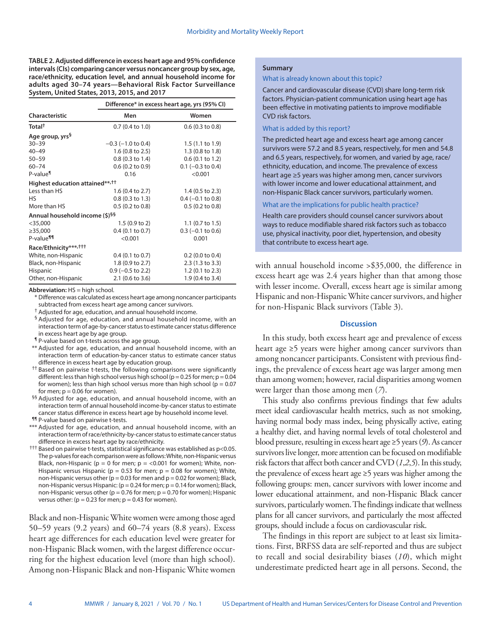**TABLE 2. Adjusted difference in excess heart age and 95% confidence intervals (CIs) comparing cancer versus noncancer group by sex, age, race/ethnicity, education level, and annual household income for adults aged 30–74 years—Behavioral Risk Factor Surveillance System, United States, 2013, 2015, and 2017**

|                                             | Difference* in excess heart age, yrs (95% CI) |                             |  |  |  |
|---------------------------------------------|-----------------------------------------------|-----------------------------|--|--|--|
| Characteristic                              | Men                                           | Women                       |  |  |  |
| Total <sup>+</sup>                          | $0.7(0.4 \text{ to } 1.0)$                    | $0.6$ (0.3 to 0.8)          |  |  |  |
| Age group, yrs <sup>§</sup>                 |                                               |                             |  |  |  |
| $30 - 39$                                   | $-0.3$ ( $-1.0$ to 0.4)                       | 1.5(1.1 to 1.9)             |  |  |  |
| $40 - 49$                                   | 1.6 (0.8 to 2.5)                              | 1.3 (0.8 to 1.8)            |  |  |  |
| $50 - 59$                                   | $0.8$ (0.3 to 1.4)                            | $0.6$ (0.1 to 1.2)          |  |  |  |
| $60 - 74$                                   | $0.6$ (0.2 to 0.9)                            | $0.1$ (-0.3 to 0.4)         |  |  |  |
| P-value <sup>¶</sup>                        | 0.16                                          | < 0.001                     |  |  |  |
| Highest education attained**, <sup>††</sup> |                                               |                             |  |  |  |
| Less than HS                                | 1.6 (0.4 to 2.7)                              | $1.4$ (0.5 to 2.3)          |  |  |  |
| <b>HS</b>                                   | $0.8$ (0.3 to 1.3)                            | $0.4$ (-0.1 to 0.8)         |  |  |  |
| More than HS                                | $0.5$ (0.2 to 0.8)                            | $0.5$ (0.2 to 0.8)          |  |  |  |
| Annual household income (\$) <sup>55</sup>  |                                               |                             |  |  |  |
| $<$ 35,000                                  | 1.5(0.9 to 2)                                 | 1.1 $(0.7 \text{ to } 1.5)$ |  |  |  |
| ≥35,000                                     | $0.4$ (0.1 to 0.7)                            | $0.3$ (-0.1 to 0.6)         |  |  |  |
| P-value <sup>¶¶</sup>                       | < 0.001                                       | 0.001                       |  |  |  |
| Race/Ethnicity***, <sup>†††</sup>           |                                               |                             |  |  |  |
| White, non-Hispanic                         | $0.4$ (0.1 to 0.7)                            | $0.2$ (0.0 to 0.4)          |  |  |  |
| Black, non-Hispanic                         | 1.8 (0.9 to 2.7)                              | 2.3 (1.3 to 3.3)            |  |  |  |
| Hispanic                                    | $0.9$ (-0.5 to 2.2)                           | 1.2 (0.1 to 2.3)            |  |  |  |
| Other, non-Hispanic                         | $2.1$ (0.6 to 3.6)                            | 1.9 (0.4 to 3.4)            |  |  |  |

**Abbreviation:** HS = high school.

\* Difference was calculated as excess heart age among noncancer participants subtracted from excess heart age among cancer survivors.

† Adjusted for age, education, and annual household income.

- § Adjusted for age, education, and annual household income, with an interaction term of age-by-cancer status to estimate cancer status difference in excess heart age by age group.
- ¶ P-value based on t-tests across the age group.
- \*\* Adjusted for age, education, and annual household income, with an interaction term of education-by-cancer status to estimate cancer status difference in excess heart age by education group.
- †† Based on pairwise t-tests, the following comparisons were significantly different: less than high school versus high school ( $p = 0.25$  for men;  $p = 0.04$ for women); less than high school versus more than high school ( $p = 0.07$ for men;  $p = 0.06$  for women).
- §§ Adjusted for age, education, and annual household income, with an interaction term of annual household income-by-cancer status to estimate cancer status difference in excess heart age by household income level.
- ¶¶ P-value based on pairwise t-tests.
- \*\*\* Adjusted for age, education, and annual household income, with an interaction term of race/ethnicity-by-cancer status to estimate cancer status difference in excess heart age by race/ethnicity.
- ††† Based on pairwise t-tests, statistical significance was established as p<0.05. The p-values for each comparison were as follows: White, non-Hispanic versus Black, non-Hispanic ( $p = 0$  for men;  $p = 0.001$  for women); White, non-Hispanic versus Hispanic ( $p = 0.53$  for men;  $p = 0.08$  for women); White, non-Hispanic versus other ( $p = 0.03$  for men and  $p = 0.02$  for women); Black, non-Hispanic versus Hispanic: ( $p = 0.24$  for men;  $p = 0.14$  for women); Black, non-Hispanic versus other ( $p = 0.76$  for men;  $p = 0.70$  for women); Hispanic versus other: ( $p = 0.23$  for men;  $p = 0.43$  for women).

Black and non-Hispanic White women were among those aged 50–59 years (9.2 years) and 60–74 years (8.8 years). Excess heart age differences for each education level were greater for non-Hispanic Black women, with the largest difference occurring for the highest education level (more than high school). Among non-Hispanic Black and non-Hispanic White women

## **Summary**

#### What is already known about this topic?

Cancer and cardiovascular disease (CVD) share long-term risk factors. Physician-patient communication using heart age has been effective in motivating patients to improve modifiable CVD risk factors.

## What is added by this report?

The predicted heart age and excess heart age among cancer survivors were 57.2 and 8.5 years, respectively, for men and 54.8 and 6.5 years, respectively, for women, and varied by age, race/ ethnicity, education, and income. The prevalence of excess heart age ≥5 years was higher among men, cancer survivors with lower income and lower educational attainment, and non-Hispanic Black cancer survivors, particularly women.

# What are the implications for public health practice?

Health care providers should counsel cancer survivors about ways to reduce modifiable shared risk factors such as tobacco use, physical inactivity, poor diet, hypertension, and obesity that contribute to excess heart age.

with annual household income >\$35,000, the difference in excess heart age was 2.4 years higher than that among those with lesser income. Overall, excess heart age is similar among Hispanic and non-Hispanic White cancer survivors, and higher for non-Hispanic Black survivors (Table 3).

# **Discussion**

In this study, both excess heart age and prevalence of excess heart age ≥5 years were higher among cancer survivors than among noncancer participants. Consistent with previous findings, the prevalence of excess heart age was larger among men than among women; however, racial disparities among women were larger than those among men (*7*).

This study also confirms previous findings that few adults meet ideal cardiovascular health metrics, such as not smoking, having normal body mass index, being physically active, eating a healthy diet, and having normal levels of total cholesterol and blood pressure, resulting in excess heart age ≥5 years (*9*). As cancer survivors live longer, more attention can be focused on modifiable risk factors that affect both cancer and CVD (*1*,*2*,*5*). In this study, the prevalence of excess heart age ≥5 years was higher among the following groups: men, cancer survivors with lower income and lower educational attainment, and non-Hispanic Black cancer survivors, particularly women. The findings indicate that wellness plans for all cancer survivors, and particularly the most affected groups, should include a focus on cardiovascular risk.

The findings in this report are subject to at least six limitations. First, BRFSS data are self-reported and thus are subject to recall and social desirability biases (*10*), which might underestimate predicted heart age in all persons. Second, the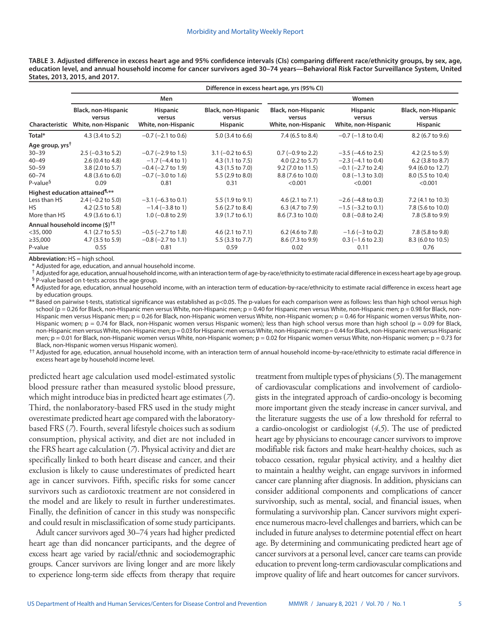**TABLE 3. Adjusted difference in excess heart age and 95% confidence intervals (CIs) comparing different race/ethnicity groups, by sex, age, education level, and annual household income for cancer survivors aged 30–74 years—Behavioral Risk Factor Surveillance System, United States, 2013, 2015, and 2017.**

|                             | Difference in excess heart age, yrs (95% CI)                |                                                  |                                                  |                                                      |                                                  |                                                  |  |  |
|-----------------------------|-------------------------------------------------------------|--------------------------------------------------|--------------------------------------------------|------------------------------------------------------|--------------------------------------------------|--------------------------------------------------|--|--|
|                             | Men                                                         |                                                  |                                                  | Women                                                |                                                  |                                                  |  |  |
| Characteristic              | <b>Black, non-Hispanic</b><br>versus<br>White, non-Hispanic | <b>Hispanic</b><br>versus<br>White, non-Hispanic | Black, non-Hispanic<br>versus<br><b>Hispanic</b> | Black, non-Hispanic<br>versus<br>White, non-Hispanic | <b>Hispanic</b><br>versus<br>White, non-Hispanic | Black, non-Hispanic<br>versus<br><b>Hispanic</b> |  |  |
| Total*                      | 4.3 (3.4 to 5.2)                                            | $-0.7$ ( $-2.1$ to 0.6)                          | 5.0 (3.4 to 6.6)                                 | 7.4 (6.5 to 8.4)                                     | $-0.7$ ( $-1.8$ to 0.4)                          | 8.2 (6.7 to 9.6)                                 |  |  |
| Age group, yrs <sup>t</sup> |                                                             |                                                  |                                                  |                                                      |                                                  |                                                  |  |  |
| $30 - 39$                   | $2.5 (-0.3 to 5.2)$                                         | $-0.7$ ( $-2.9$ to 1.5)                          | $3.1 (-0.2 to 6.5)$                              | $0.7$ (-0.9 to 2.2)                                  | $-3.5$ ( $-4.6$ to 2.5)                          | $4.2$ (2.5 to 5.9)                               |  |  |
| $40 - 49$                   | 2.6(0.4 to 4.8)                                             | $-1.7$ ( $-4.4$ to 1)                            | 4.3 (1.1 to 7.5)                                 | $4.0$ (2.2 to 5.7)                                   | $-2.3$ ( $-4.1$ to 0.4)                          | $6.2$ (3.8 to 8.7)                               |  |  |
| $50 - 59$                   | $3.8(2.0 \text{ to } 5.7)$                                  | $-0.4$ ( $-2.7$ to 1.9)                          | 4.3 (1.5 to 7.0)                                 | 9.2 (7.0 to 11.5)                                    | $-0.1$ ( $-2.7$ to 2.4)                          | 9.4 (6.0 to 12.7)                                |  |  |
| $60 - 74$                   | $4.8$ (3.6 to 6.0)                                          | $-0.7$ ( $-3.0$ to 1.6)                          | 5.5 (2.9 to 8.0)                                 | 8.8 (7.6 to 10.0)                                    | $0.8(-1.3 \text{ to } 3.0)$                      | 8.0 (5.5 to 10.4)                                |  |  |
| P-value <sup>§</sup>        | 0.09                                                        | 0.81                                             | 0.31                                             | < 0.001                                              | < 0.001                                          | < 0.001                                          |  |  |
|                             | Highest education attained <sup>¶,**</sup>                  |                                                  |                                                  |                                                      |                                                  |                                                  |  |  |
| Less than HS                | $2.4 (-0.2 to 5.0)$                                         | $-3.1$ (-6.3 to 0.1)                             | 5.5 (1.9 to 9.1)                                 | 4.6(2.1 to 7.1)                                      | $-2.6$ ( $-4.8$ to 0.3)                          | 7.2 (4.1 to 10.3)                                |  |  |
| HS.                         | $4.2$ (2.5 to 5.8)                                          | $-1.4$ ( $-3.8$ to 1)                            | 5.6 (2.7 to 8.4)                                 | 6.3 (4.7 to 7.9)                                     | $-1.5$ ( $-3.2$ to 0.1)                          | 7.8 (5.6 to 10.0)                                |  |  |
| More than HS                | $4.9$ (3.6 to 6.1)                                          | $1.0$ (-0.8 to 2.9)                              | $3.9(1.7 \text{ to } 6.1)$                       | 8.6 (7.3 to 10.0)                                    | $0.8$ (-0.8 to 2.4)                              | 7.8 (5.8 to 9.9)                                 |  |  |
|                             | Annual household income (\$) <sup>††</sup>                  |                                                  |                                                  |                                                      |                                                  |                                                  |  |  |
| $<$ 35,000                  | $4.1$ (2.7 to 5.5)                                          | $-0.5$ ( $-2.7$ to 1.8)                          | 4.6(2.1 to 7.1)                                  | 6.2 (4.6 to 7.8)                                     | $-1.6$ ( $-3$ to 0.2)                            | 7.8 (5.8 to 9.8)                                 |  |  |
| $\geq$ 35,000               | 4.7 (3.5 to 5.9)                                            | $-0.8$ ( $-2.7$ to 1.1)                          | 5.5 (3.3 to 7.7)                                 | 8.6 (7.3 to 9.9)                                     | $0.3$ (-1.6 to 2.3)                              | 8.3 (6.0 to 10.5)                                |  |  |
| P-value                     | 0.55                                                        | 0.81                                             | 0.59                                             | 0.02                                                 | 0.11                                             | 0.76                                             |  |  |

**Abbreviation:** HS = high school.

Adjusted for age, education, and annual household income.

† Adjusted for age, education, annual household income, with an interaction term of age-by-race/ethnicity to estimate racial difference in excess heart age by age group.

§ P-value based on t-tests across the age group.

¶ Adjusted for age, education, annual household income, with an interaction term of education-by-race/ethnicity to estimate racial difference in excess heart age by education groups.

\*\* Based on pairwise t-tests, statistical significance was established as p<0.05. The p-values for each comparison were as follows: less than high school versus high school (p = 0.26 for Black, non-Hispanic men versus White, non-Hispanic men; p = 0.40 for Hispanic men versus White, non-Hispanic men; p = 0.98 for Black, non-Hispanic men versus Hispanic men; p = 0.26 for Black, non-Hispanic women versus White, non-Hispanic women; p = 0.46 for Hispanic women versus White, non-Hispanic women;  $p = 0.74$  for Black, non-Hispanic women versus Hispanic women); less than high school versus more than high school ( $p = 0.09$  for Black, non-Hispanic men versus White, non-Hispanic men; p = 0.03 for Hispanic men versus White, non-Hispanic men; p = 0.44 for Black, non-Hispanic men versus Hispanic men; p = 0.01 for Black, non-Hispanic women versus White, non-Hispanic women; p = 0.02 for Hispanic women versus White, non-Hispanic women; p = 0.73 for Black, non-Hispanic women versus Hispanic women).

†† Adjusted for age, education, annual household income, with an interaction term of annual household income-by-race/ethnicity to estimate racial difference in excess heart age by household income level.

predicted heart age calculation used model-estimated systolic blood pressure rather than measured systolic blood pressure, which might introduce bias in predicted heart age estimates (*7*). Third, the nonlaboratory-based FRS used in the study might overestimate predicted heart age compared with the laboratorybased FRS (*7*). Fourth, several lifestyle choices such as sodium consumption, physical activity, and diet are not included in the FRS heart age calculation (*7*). Physical activity and diet are specifically linked to both heart disease and cancer, and their exclusion is likely to cause underestimates of predicted heart age in cancer survivors. Fifth, specific risks for some cancer survivors such as cardiotoxic treatment are not considered in the model and are likely to result in further underestimates. Finally, the definition of cancer in this study was nonspecific and could result in misclassification of some study participants.

Adult cancer survivors aged 30–74 years had higher predicted heart age than did noncancer participants, and the degree of excess heart age varied by racial/ethnic and sociodemographic groups. Cancer survivors are living longer and are more likely to experience long-term side effects from therapy that require

treatment from multiple types of physicians (*5*). The management of cardiovascular complications and involvement of cardiologists in the integrated approach of cardio-oncology is becoming more important given the steady increase in cancer survival, and the literature suggests the use of a low threshold for referral to a cardio-oncologist or cardiologist (*4*,*5*). The use of predicted heart age by physicians to encourage cancer survivors to improve modifiable risk factors and make heart-healthy choices, such as tobacco cessation, regular physical activity, and a healthy diet to maintain a healthy weight, can engage survivors in informed cancer care planning after diagnosis. In addition, physicians can consider additional components and complications of cancer survivorship, such as mental, social, and financial issues, when formulating a survivorship plan. Cancer survivors might experience numerous macro-level challenges and barriers, which can be included in future analyses to determine potential effect on heart age. By determining and communicating predicted heart age of cancer survivors at a personal level, cancer care teams can provide education to prevent long-term cardiovascular complications and improve quality of life and heart outcomes for cancer survivors.